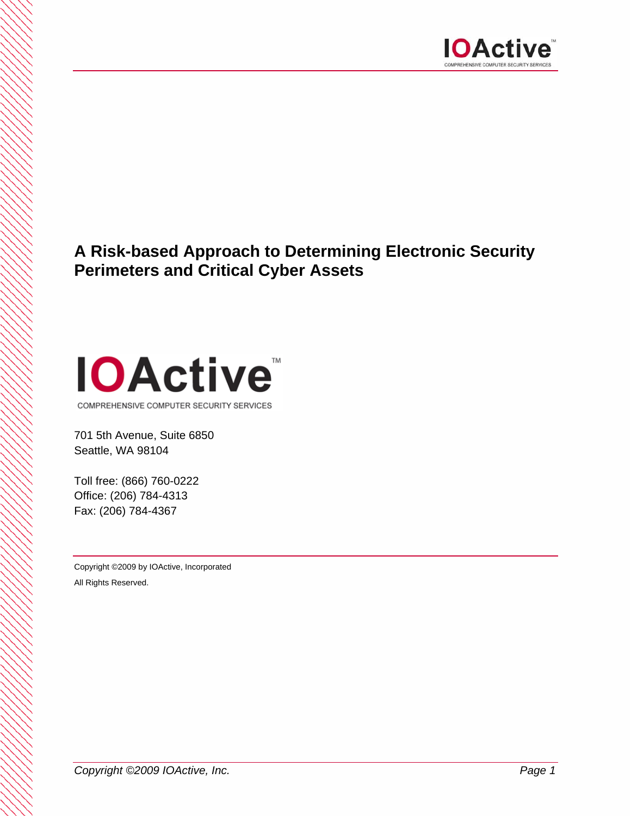

# **A Risk-based Approach to Determining Electronic Security Perimeters and Critical Cyber Assets**



701 5th Avenue, Suite 6850

Seattle, WA 98104

Toll free: (866) 760-0222 Office: (206) 784-4313 Fax: (206) 784-4367

Copyright ©2009 by IOActive, Incorporated All Rights Reserved.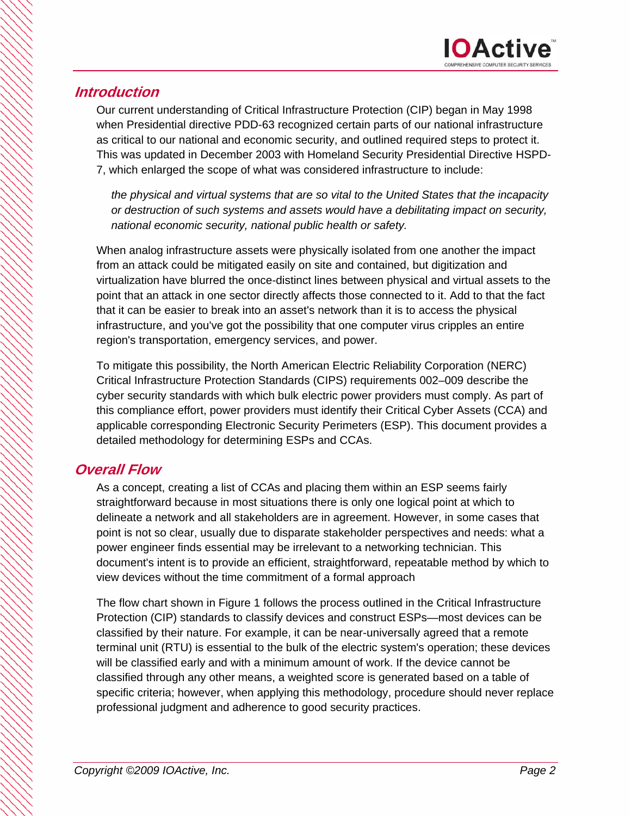## **Introduction**

Our current understanding of Critical Infrastructure Protection (CIP) began in May 1998 when Presidential directive PDD-63 recognized certain parts of our national infrastructure as critical to our national and economic security, and outlined required steps to protect it. This was updated in December 2003 with Homeland Security Presidential Directive HSPD-7, which enlarged the scope of what was considered infrastructure to include:

*the physical and virtual systems that are so vital to the United States that the incapacity or destruction of such systems and assets would have a debilitating impact on security, national economic security, national public health or safety.* 

When analog infrastructure assets were physically isolated from one another the impact from an attack could be mitigated easily on site and contained, but digitization and virtualization have blurred the once-distinct lines between physical and virtual assets to the point that an attack in one sector directly affects those connected to it. Add to that the fact that it can be easier to break into an asset's network than it is to access the physical infrastructure, and you've got the possibility that one computer virus cripples an entire region's transportation, emergency services, and power.

To mitigate this possibility, the North American Electric Reliability Corporation (NERC) Critical Infrastructure Protection Standards (CIPS) requirements 002–009 describe the cyber security standards with which bulk electric power providers must comply. As part of this compliance effort, power providers must identify their Critical Cyber Assets (CCA) and applicable corresponding Electronic Security Perimeters (ESP). This document provides a detailed methodology for determining ESPs and CCAs.

# **Overall Flow**

As a concept, creating a list of CCAs and placing them within an ESP seems fairly straightforward because in most situations there is only one logical point at which to delineate a network and all stakeholders are in agreement. However, in some cases that point is not so clear, usually due to disparate stakeholder perspectives and needs: what a power engineer finds essential may be irrelevant to a networking technician. This document's intent is to provide an efficient, straightforward, repeatable method by which to view devices without the time commitment of a formal approach

The flow chart shown in Figure 1 follows the process outlined in the Critical Infrastructure Protection (CIP) standards to classify devices and construct ESPs—most devices can be classified by their nature. For example, it can be near-universally agreed that a remote terminal unit (RTU) is essential to the bulk of the electric system's operation; these devices will be classified early and with a minimum amount of work. If the device cannot be classified through any other means, a weighted score is generated based on a table of specific criteria; however, when applying this methodology, procedure should never replace professional judgment and adherence to good security practices.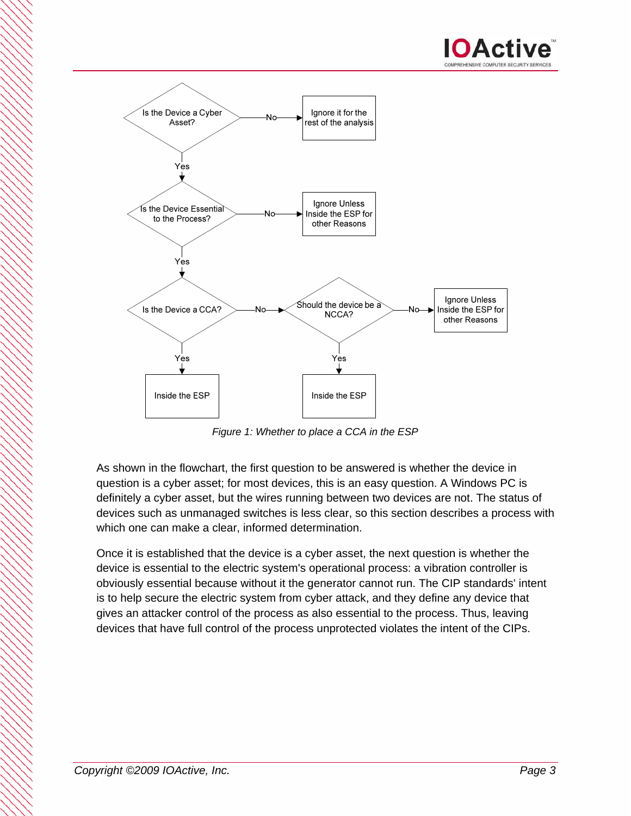



*Figure 1: Whether to place a CCA in the ESP* 

As shown in the flowchart, the first question to be answered is whether the device in question is a cyber asset; for most devices, this is an easy question. A Windows PC is definitely a cyber asset, but the wires running between two devices are not. The status of devices such as unmanaged switches is less clear, so this section describes a process with which one can make a clear, informed determination.

Once it is established that the device is a cyber asset, the next question is whether the device is essential to the electric system's operational process: a vibration controller is obviously essential because without it the generator cannot run. The CIP standards' intent is to help secure the electric system from cyber attack, and they define any device that gives an attacker control of the process as also essential to the process. Thus, leaving devices that have full control of the process unprotected violates the intent of the CIPs.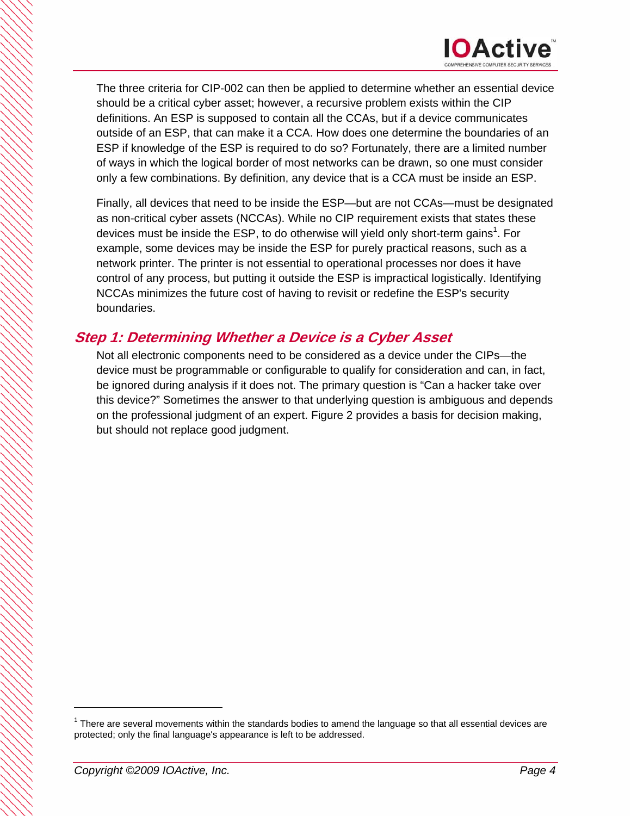

The three criteria for CIP-002 can then be applied to determine whether an essential device should be a critical cyber asset; however, a recursive problem exists within the CIP definitions. An ESP is supposed to contain all the CCAs, but if a device communicates outside of an ESP, that can make it a CCA. How does one determine the boundaries of an ESP if knowledge of the ESP is required to do so? Fortunately, there are a limited number of ways in which the logical border of most networks can be drawn, so one must consider only a few combinations. By definition, any device that is a CCA must be inside an ESP.

Finally, all devices that need to be inside the ESP—but are not CCAs—must be designated as non-critical cyber assets (NCCAs). While no CIP requirement exists that states these devices must be inside the ESP, to do otherwise will yield only short-term gains<sup>1</sup>. For example, some devices may be inside the ESP for purely practical reasons, such as a network printer. The printer is not essential to operational processes nor does it have control of any process, but putting it outside the ESP is impractical logistically. Identifying NCCAs minimizes the future cost of having to revisit or redefine the ESP's security boundaries.

## **Step 1: Determining Whether a Device is a Cyber Asset**

Not all electronic components need to be considered as a device under the CIPs—the device must be programmable or configurable to qualify for consideration and can, in fact, be ignored during analysis if it does not. The primary question is "Can a hacker take over this device?" Sometimes the answer to that underlying question is ambiguous and depends on the professional judgment of an expert. Figure 2 provides a basis for decision making, but should not replace good judgment.

 $\overline{a}$ 

 $1$  There are several movements within the standards bodies to amend the language so that all essential devices are protected; only the final language's appearance is left to be addressed.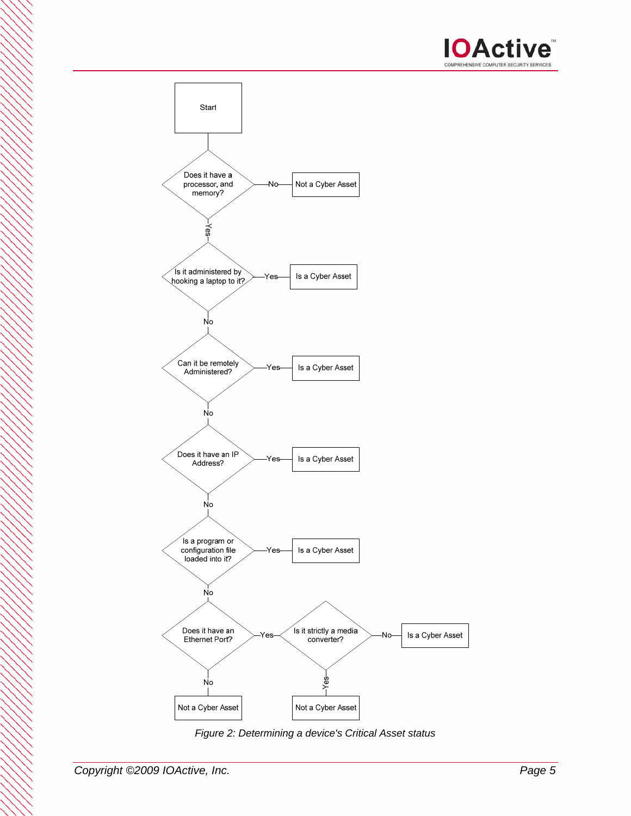



*Figure 2: Determining a device's Critical Asset status*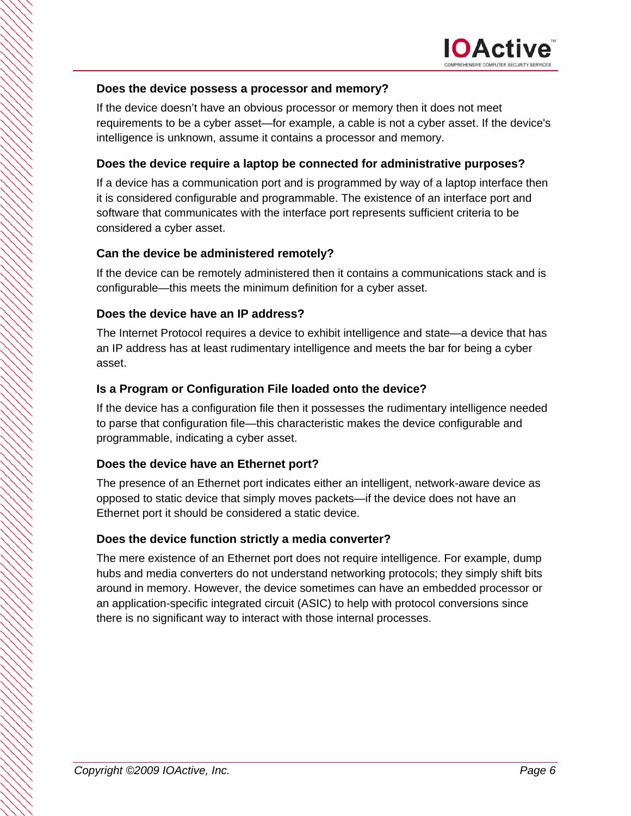

#### **Does the device possess a processor and memory?**

If the device doesn't have an obvious processor or memory then it does not meet requirements to be a cyber asset—for example, a cable is not a cyber asset. If the device's intelligence is unknown, assume it contains a processor and memory.

#### **Does the device require a laptop be connected for administrative purposes?**

If a device has a communication port and is programmed by way of a laptop interface then it is considered configurable and programmable. The existence of an interface port and software that communicates with the interface port represents sufficient criteria to be considered a cyber asset.

#### **Can the device be administered remotely?**

If the device can be remotely administered then it contains a communications stack and is configurable—this meets the minimum definition for a cyber asset.

#### **Does the device have an IP address?**

The Internet Protocol requires a device to exhibit intelligence and state—a device that has an IP address has at least rudimentary intelligence and meets the bar for being a cyber asset.

#### **Is a Program or Configuration File loaded onto the device?**

If the device has a configuration file then it possesses the rudimentary intelligence needed to parse that configuration file—this characteristic makes the device configurable and programmable, indicating a cyber asset.

#### **Does the device have an Ethernet port?**

The presence of an Ethernet port indicates either an intelligent, network-aware device as opposed to static device that simply moves packets—if the device does not have an Ethernet port it should be considered a static device.

#### **Does the device function strictly a media converter?**

The mere existence of an Ethernet port does not require intelligence. For example, dump hubs and media converters do not understand networking protocols; they simply shift bits around in memory. However, the device sometimes can have an embedded processor or an application-specific integrated circuit (ASIC) to help with protocol conversions since there is no significant way to interact with those internal processes.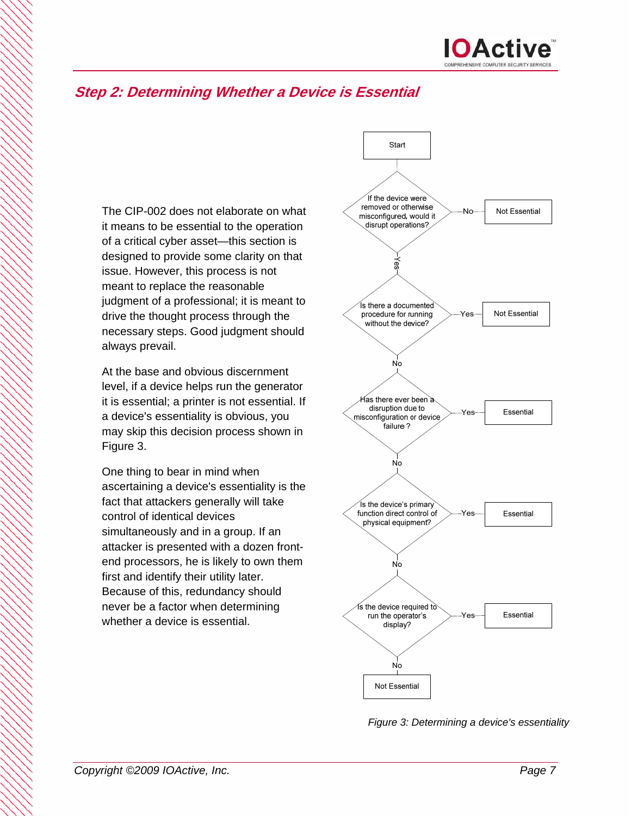# **Step 2: Determining Whether a Device is Essential**

The CIP-002 does not elaborate on what it means to be essential to the operation of a critical cyber asset—this section is designed to provide some clarity on that issue. However, this process is not meant to replace the reasonable judgment of a professional; it is meant to drive the thought process through the necessary steps. Good judgment should always prevail.

At the base and obvious discernment level, if a device helps run the generator it is essential; a printer is not essential. If a device's essentiality is obvious, you may skip this decision process shown in Figure 3.

One thing to bear in mind when ascertaining a device's essentiality is the fact that attackers generally will take control of identical devices simultaneously and in a group. If an attacker is presented with a dozen frontend processors, he is likely to own them first and identify their utility later. Because of this, redundancy should never be a factor when determining whether a device is essential.



*Figure 3: Determining a device's essentiality*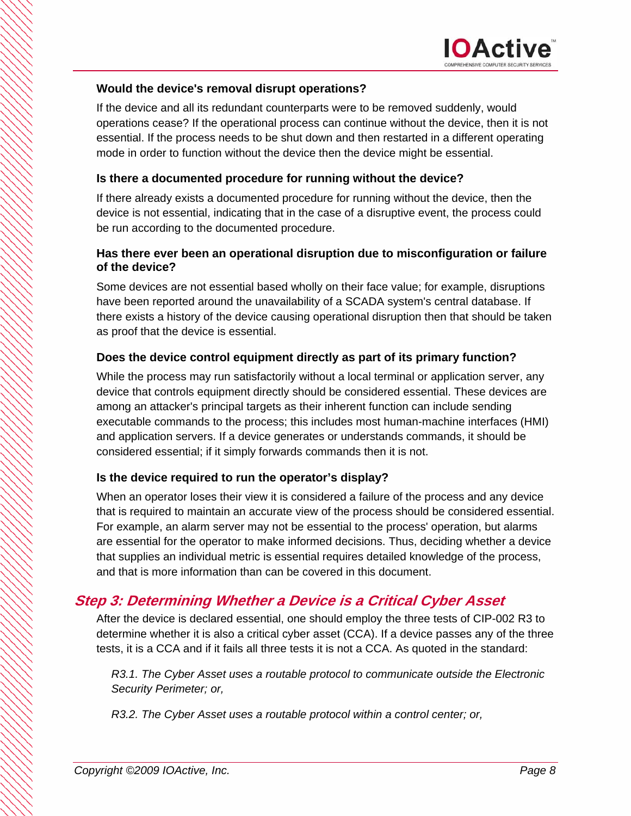#### **Would the device's removal disrupt operations?**

If the device and all its redundant counterparts were to be removed suddenly, would operations cease? If the operational process can continue without the device, then it is not essential. If the process needs to be shut down and then restarted in a different operating mode in order to function without the device then the device might be essential.

#### **Is there a documented procedure for running without the device?**

If there already exists a documented procedure for running without the device, then the device is not essential, indicating that in the case of a disruptive event, the process could be run according to the documented procedure.

#### **Has there ever been an operational disruption due to misconfiguration or failure of the device?**

Some devices are not essential based wholly on their face value; for example, disruptions have been reported around the unavailability of a SCADA system's central database. If there exists a history of the device causing operational disruption then that should be taken as proof that the device is essential.

### **Does the device control equipment directly as part of its primary function?**

While the process may run satisfactorily without a local terminal or application server, any device that controls equipment directly should be considered essential. These devices are among an attacker's principal targets as their inherent function can include sending executable commands to the process; this includes most human-machine interfaces (HMI) and application servers. If a device generates or understands commands, it should be considered essential; if it simply forwards commands then it is not.

### **Is the device required to run the operator's display?**

When an operator loses their view it is considered a failure of the process and any device that is required to maintain an accurate view of the process should be considered essential. For example, an alarm server may not be essential to the process' operation, but alarms are essential for the operator to make informed decisions. Thus, deciding whether a device that supplies an individual metric is essential requires detailed knowledge of the process, and that is more information than can be covered in this document.

## **Step 3: Determining Whether a Device is a Critical Cyber Asset**

After the device is declared essential, one should employ the three tests of CIP-002 R3 to determine whether it is also a critical cyber asset (CCA). If a device passes any of the three tests, it is a CCA and if it fails all three tests it is not a CCA. As quoted in the standard:

*R3.1. The Cyber Asset uses a routable protocol to communicate outside the Electronic Security Perimeter; or,* 

*R3.2. The Cyber Asset uses a routable protocol within a control center; or,*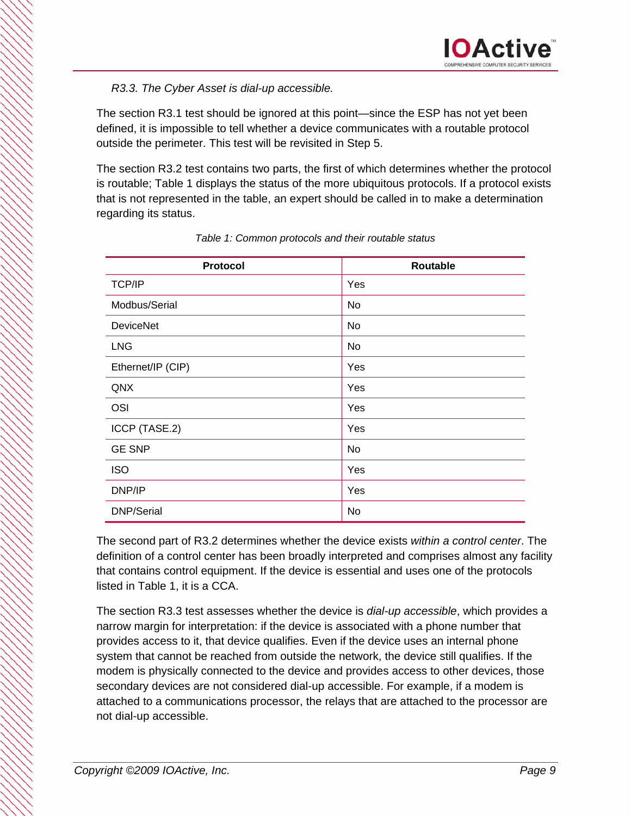### *R3.3. The Cyber Asset is dial-up accessible.*

The section R3.1 test should be ignored at this point—since the ESP has not yet been defined, it is impossible to tell whether a device communicates with a routable protocol outside the perimeter. This test will be revisited in Step 5.

The section R3.2 test contains two parts, the first of which determines whether the protocol is routable; Table 1 displays the status of the more ubiquitous protocols. If a protocol exists that is not represented in the table, an expert should be called in to make a determination regarding its status.

| <b>Protocol</b>   | Routable |
|-------------------|----------|
| <b>TCP/IP</b>     | Yes      |
| Modbus/Serial     | No       |
| <b>DeviceNet</b>  | No       |
| <b>LNG</b>        | No       |
| Ethernet/IP (CIP) | Yes      |
| QNX               | Yes      |
| OSI               | Yes      |
| ICCP (TASE.2)     | Yes      |
| <b>GE SNP</b>     | No       |
| <b>ISO</b>        | Yes      |
| DNP/IP            | Yes      |
| <b>DNP/Serial</b> | No       |

*Table 1: Common protocols and their routable status* 

The second part of R3.2 determines whether the device exists *within a control center*. The definition of a control center has been broadly interpreted and comprises almost any facility that contains control equipment. If the device is essential and uses one of the protocols listed in Table 1, it is a CCA.

The section R3.3 test assesses whether the device is *dial-up accessible*, which provides a narrow margin for interpretation: if the device is associated with a phone number that provides access to it, that device qualifies. Even if the device uses an internal phone system that cannot be reached from outside the network, the device still qualifies. If the modem is physically connected to the device and provides access to other devices, those secondary devices are not considered dial-up accessible. For example, if a modem is attached to a communications processor, the relays that are attached to the processor are not dial-up accessible.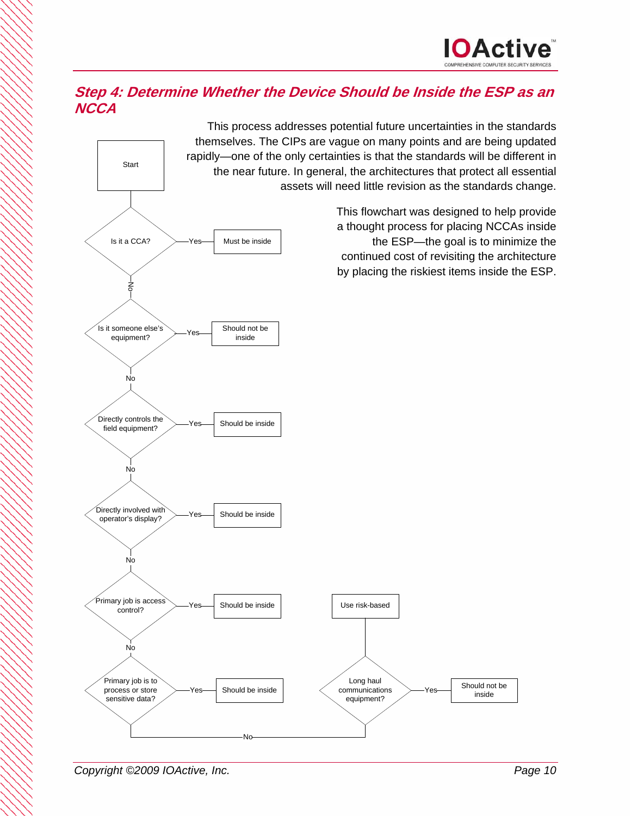

## **Step 4: Determine Whether the Device Should be Inside the ESP as an NCCA**

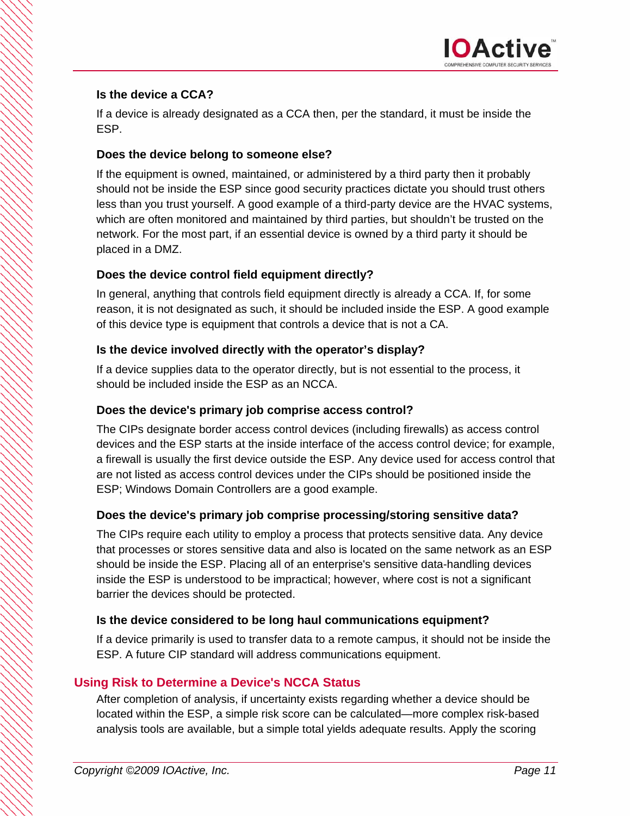### **Is the device a CCA?**

If a device is already designated as a CCA then, per the standard, it must be inside the ESP.

### **Does the device belong to someone else?**

If the equipment is owned, maintained, or administered by a third party then it probably should not be inside the ESP since good security practices dictate you should trust others less than you trust yourself. A good example of a third-party device are the HVAC systems, which are often monitored and maintained by third parties, but shouldn't be trusted on the network. For the most part, if an essential device is owned by a third party it should be placed in a DMZ.

## **Does the device control field equipment directly?**

In general, anything that controls field equipment directly is already a CCA. If, for some reason, it is not designated as such, it should be included inside the ESP. A good example of this device type is equipment that controls a device that is not a CA.

### **Is the device involved directly with the operator's display?**

If a device supplies data to the operator directly, but is not essential to the process, it should be included inside the ESP as an NCCA.

### **Does the device's primary job comprise access control?**

The CIPs designate border access control devices (including firewalls) as access control devices and the ESP starts at the inside interface of the access control device; for example, a firewall is usually the first device outside the ESP. Any device used for access control that are not listed as access control devices under the CIPs should be positioned inside the ESP; Windows Domain Controllers are a good example.

### **Does the device's primary job comprise processing/storing sensitive data?**

The CIPs require each utility to employ a process that protects sensitive data. Any device that processes or stores sensitive data and also is located on the same network as an ESP should be inside the ESP. Placing all of an enterprise's sensitive data-handling devices inside the ESP is understood to be impractical; however, where cost is not a significant barrier the devices should be protected.

## **Is the device considered to be long haul communications equipment?**

If a device primarily is used to transfer data to a remote campus, it should not be inside the ESP. A future CIP standard will address communications equipment.

## **Using Risk to Determine a Device's NCCA Status**

After completion of analysis, if uncertainty exists regarding whether a device should be located within the ESP, a simple risk score can be calculated—more complex risk-based analysis tools are available, but a simple total yields adequate results. Apply the scoring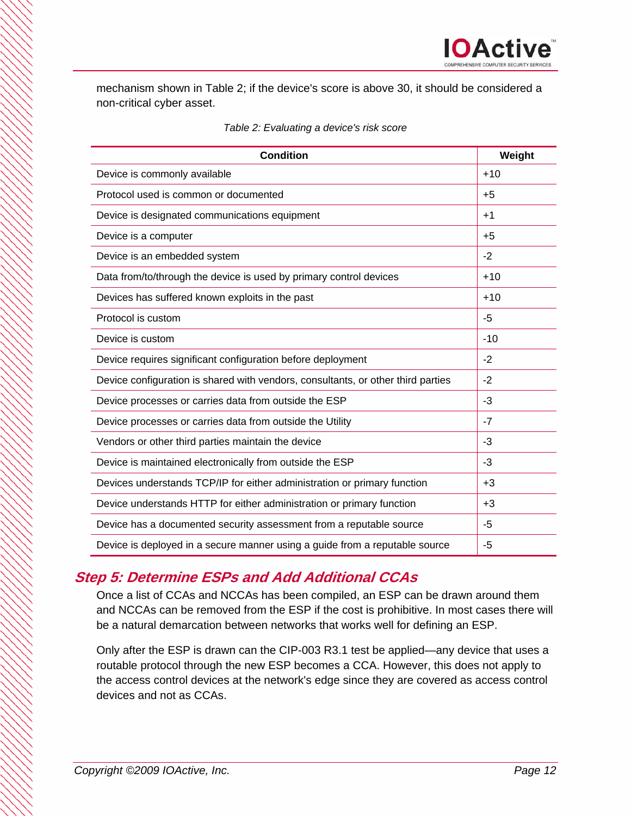mechanism shown in Table 2; if the device's score is above 30, it should be considered a non-critical cyber asset.

| <b>Condition</b>                                                                 | Weight |
|----------------------------------------------------------------------------------|--------|
| Device is commonly available                                                     | $+10$  |
| Protocol used is common or documented                                            | $+5$   |
| Device is designated communications equipment                                    | $+1$   |
| Device is a computer                                                             | $+5$   |
| Device is an embedded system                                                     | $-2$   |
| Data from/to/through the device is used by primary control devices               | $+10$  |
| Devices has suffered known exploits in the past                                  | $+10$  |
| Protocol is custom                                                               | -5     |
| Device is custom                                                                 | $-10$  |
| Device requires significant configuration before deployment                      | $-2$   |
| Device configuration is shared with vendors, consultants, or other third parties | $-2$   |
| Device processes or carries data from outside the ESP                            | -3     |
| Device processes or carries data from outside the Utility                        | $-7$   |
| Vendors or other third parties maintain the device                               | -3     |
| Device is maintained electronically from outside the ESP                         | $-3$   |
| Devices understands TCP/IP for either administration or primary function         | $+3$   |
| Device understands HTTP for either administration or primary function            | $+3$   |
| Device has a documented security assessment from a reputable source              | -5     |
| Device is deployed in a secure manner using a guide from a reputable source      | $-5$   |

# **Step 5: Determine ESPs and Add Additional CCAs**

Once a list of CCAs and NCCAs has been compiled, an ESP can be drawn around them and NCCAs can be removed from the ESP if the cost is prohibitive. In most cases there will be a natural demarcation between networks that works well for defining an ESP.

Only after the ESP is drawn can the CIP-003 R3.1 test be applied—any device that uses a routable protocol through the new ESP becomes a CCA. However, this does not apply to the access control devices at the network's edge since they are covered as access control devices and not as CCAs.